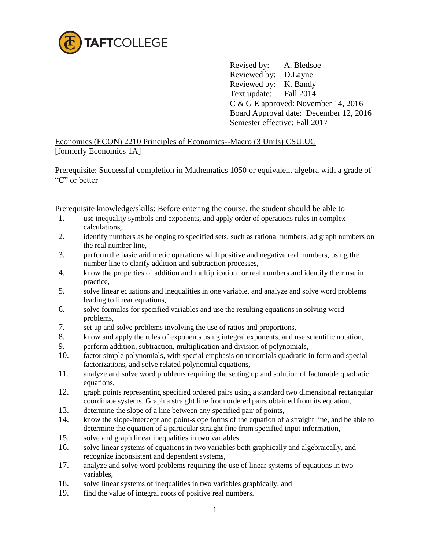

 Revised by: A. Bledsoe Reviewed by: D.Layne Reviewed by: K. Bandy Text update: Fall 2014 C & G E approved: November 14, 2016 Board Approval date: December 12, 2016 Semester effective: Fall 2017

Economics (ECON) 2210 Principles of Economics--Macro (3 Units) CSU:UC [formerly Economics 1A]

Prerequisite: Successful completion in Mathematics 1050 or equivalent algebra with a grade of "C" or better

Prerequisite knowledge/skills: Before entering the course, the student should be able to

- 1. use inequality symbols and exponents, and apply order of operations rules in complex calculations,
- 2. identify numbers as belonging to specified sets, such as rational numbers, ad graph numbers on the real number line,
- 3. perform the basic arithmetic operations with positive and negative real numbers, using the number line to clarify addition and subtraction processes,
- 4. know the properties of addition and multiplication for real numbers and identify their use in practice,
- 5. solve linear equations and inequalities in one variable, and analyze and solve word problems leading to linear equations,
- 6. solve formulas for specified variables and use the resulting equations in solving word problems,
- 7. set up and solve problems involving the use of ratios and proportions,
- 8. know and apply the rules of exponents using integral exponents, and use scientific notation,
- 9. perform addition, subtraction, multiplication and division of polynomials,
- 10. factor simple polynomials, with special emphasis on trinomials quadratic in form and special factorizations, and solve related polynomial equations,
- 11. analyze and solve word problems requiring the setting up and solution of factorable quadratic equations,
- 12. graph points representing specified ordered pairs using a standard two dimensional rectangular coordinate systems. Graph a straight line from ordered pairs obtained from its equation,
- 13. determine the slope of a line between any specified pair of points,
- 14. know the slope-intercept and point-slope forms of the equation of a straight line, and be able to determine the equation of a particular straight fine from specified input information,
- 15. solve and graph linear inequalities in two variables,
- 16. solve linear systems of equations in two variables both graphically and algebraically, and recognize inconsistent and dependent systems,
- 17. analyze and solve word problems requiring the use of linear systems of equations in two variables,
- 18. solve linear systems of inequalities in two variables graphically, and
- 19. find the value of integral roots of positive real numbers.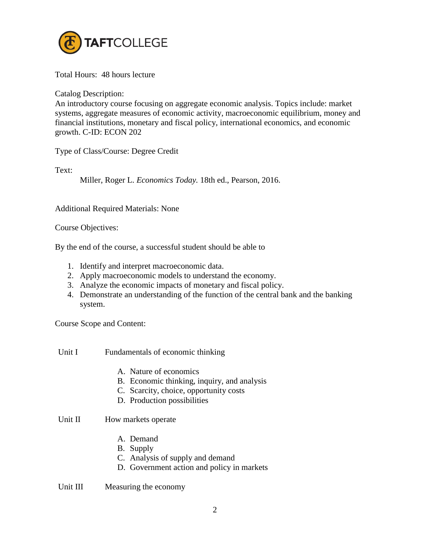

Total Hours: 48 hours lecture

Catalog Description:

An introductory course focusing on aggregate economic analysis. Topics include: market systems, aggregate measures of economic activity, macroeconomic equilibrium, money and financial institutions, monetary and fiscal policy, international economics, and economic growth. C-ID: ECON 202

Type of Class/Course: Degree Credit

Text:

Miller, Roger L. *Economics Today.* 18th ed., Pearson, 2016.

Additional Required Materials: None

Course Objectives:

By the end of the course, a successful student should be able to

- 1. Identify and interpret macroeconomic data.
- 2. Apply macroeconomic models to understand the economy.
- 3. Analyze the economic impacts of monetary and fiscal policy.
- 4. Demonstrate an understanding of the function of the central bank and the banking system.

Course Scope and Content:

Unit I Fundamentals of economic thinking

- A. Nature of economics
- B. Economic thinking, inquiry, and analysis
- C. Scarcity, choice, opportunity costs
- D. Production possibilities

# Unit II How markets operate

- A. Demand
- B. Supply
- C. Analysis of supply and demand
- D. Government action and policy in markets

Unit III Measuring the economy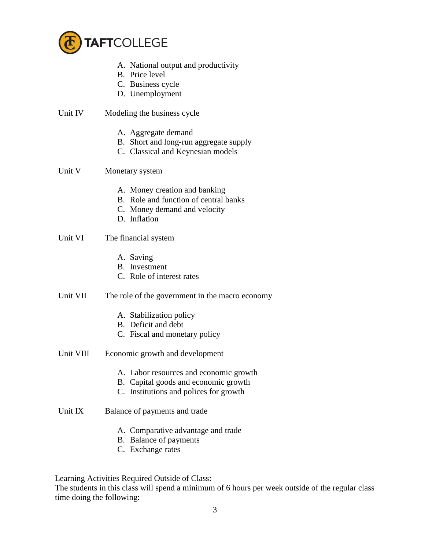

- A. National output and productivity
- B. Price level
- C. Business cycle
- D. Unemployment
- Unit IV Modeling the business cycle
	- A. Aggregate demand
	- B. Short and long-run aggregate supply
	- C. Classical and Keynesian models

# Unit V Monetary system

- A. Money creation and banking
- B. Role and function of central banks
- C. Money demand and velocity
- D. Inflation

# Unit VI The financial system

- A. Saving
- B. Investment
- C. Role of interest rates

# Unit VII The role of the government in the macro economy

- A. Stabilization policy
- B. Deficit and debt
- C. Fiscal and monetary policy
- Unit VIII Economic growth and development
	- A. Labor resources and economic growth
	- B. Capital goods and economic growth
	- C. Institutions and polices for growth

# Unit IX Balance of payments and trade

- A. Comparative advantage and trade
- B. Balance of payments
- C. Exchange rates

Learning Activities Required Outside of Class:

The students in this class will spend a minimum of 6 hours per week outside of the regular class time doing the following: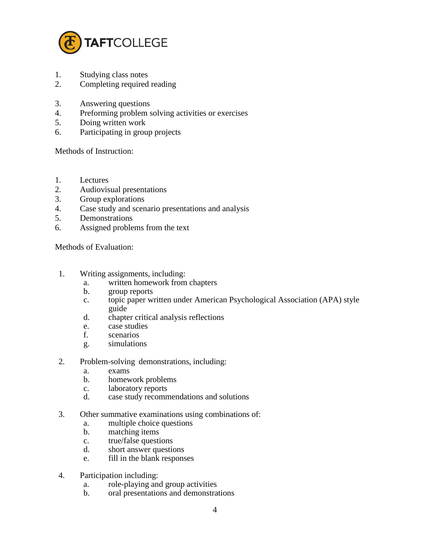

- 1. Studying class notes
- 2. Completing required reading
- 3. Answering questions
- 4. Preforming problem solving activities or exercises
- 5. Doing written work
- 6. Participating in group projects

Methods of Instruction:

- 1. Lectures
- 2. Audiovisual presentations
- 3. Group explorations
- 4. Case study and scenario presentations and analysis
- 5. Demonstrations
- 6. Assigned problems from the text

Methods of Evaluation:

- 1. Writing assignments, including:
	- a. written homework from chapters
	- b. group reports
	- c. topic paper written under American Psychological Association (APA) style guide
	- d. chapter critical analysis reflections
	- e. case studies
	- f. scenarios
	- g. simulations
- 2. Problem-solving demonstrations, including:
	- a. exams
	- b. homework problems
	- c. laboratory reports
	- d. case study recommendations and solutions
- 3. Other summative examinations using combinations of:
	- a. multiple choice questions
	- b. matching items
	- c. true/false questions
	- d. short answer questions
	- e. fill in the blank responses
- 4. Participation including:
	- a. role-playing and group activities
	- b. oral presentations and demonstrations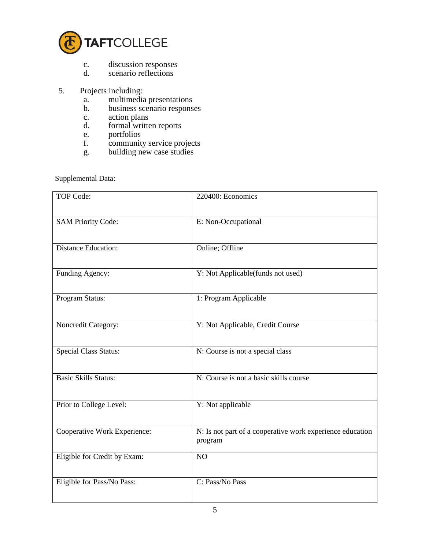

- c. discussion responses<br>d. scenario reflections
- scenario reflections
- 5. Projects including:
	- a. multimedia presentations
	- b. business scenario responses
	- c. action plans<br>d. formal writte
	- formal written reports
	- e. portfolios
	- f. community service projects
	- g. building new case studies

Supplemental Data:

| <b>TOP Code:</b>             | 220400: Economics                                                    |
|------------------------------|----------------------------------------------------------------------|
| <b>SAM Priority Code:</b>    | E: Non-Occupational                                                  |
| <b>Distance Education:</b>   | Online; Offline                                                      |
| Funding Agency:              | Y: Not Applicable(funds not used)                                    |
| Program Status:              | 1: Program Applicable                                                |
| Noncredit Category:          | Y: Not Applicable, Credit Course                                     |
| <b>Special Class Status:</b> | N: Course is not a special class                                     |
| <b>Basic Skills Status:</b>  | N: Course is not a basic skills course                               |
| Prior to College Level:      | Y: Not applicable                                                    |
| Cooperative Work Experience: | N: Is not part of a cooperative work experience education<br>program |
| Eligible for Credit by Exam: | NO                                                                   |
| Eligible for Pass/No Pass:   | C: Pass/No Pass                                                      |